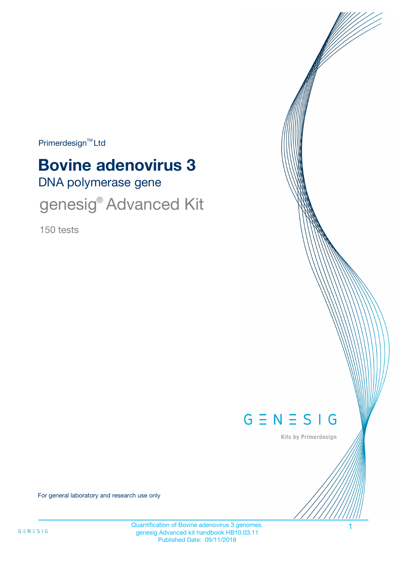Primerdesign<sup>™</sup>Ltd

# **Bovine adenovirus 3**

DNA polymerase gene

genesig<sup>®</sup> Advanced Kit

150 tests



Kits by Primerdesign

For general laboratory and research use only

Quantification of Bovine adenovirus 3 genomes. genesig Advanced kit handbook HB10.03.11 Published Date: 09/11/2018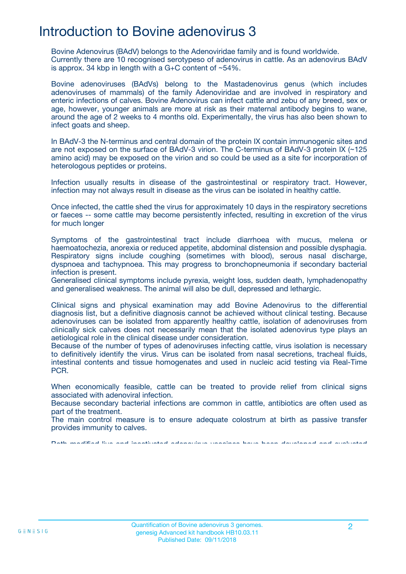# Introduction to Bovine adenovirus 3

Bovine Adenovirus (BAdV) belongs to the Adenoviridae family and is found worldwide. Currently there are 10 recognised serotypeso of adenovirus in cattle. As an adenovirus BAdV is approx. 34 kbp in length with a G+C content of ~54%.

Bovine adenoviruses (BAdVs) belong to the Mastadenovirus genus (which includes adenoviruses of mammals) of the family Adenoviridae and are involved in respiratory and enteric infections of calves. Bovine Adenovirus can infect cattle and zebu of any breed, sex or age, however, younger animals are more at risk as their maternal antibody begins to wane, around the age of 2 weeks to 4 months old. Experimentally, the virus has also been shown to infect goats and sheep.

In BAdV-3 the N-terminus and central domain of the protein IX contain immunogenic sites and are not exposed on the surface of BAdV-3 virion. The C-terminus of BAdV-3 protein IX (~125 amino acid) may be exposed on the virion and so could be used as a site for incorporation of heterologous peptides or proteins.

Infection usually results in disease of the gastrointestinal or respiratory tract. However, infection may not always result in disease as the virus can be isolated in healthy cattle.

Once infected, the cattle shed the virus for approximately 10 days in the respiratory secretions or faeces -- some cattle may become persistently infected, resulting in excretion of the virus for much longer

Symptoms of the gastrointestinal tract include diarrhoea with mucus, melena or haemoatochezia, anorexia or reduced appetite, abdominal distension and possible dysphagia. Respiratory signs include coughing (sometimes with blood), serous nasal discharge, dyspnoea and tachypnoea. This may progress to bronchopneumonia if secondary bacterial infection is present.

Generalised clinical symptoms include pyrexia, weight loss, sudden death, lymphadenopathy and generalised weakness. The animal will also be dull, depressed and lethargic.

Clinical signs and physical examination may add Bovine Adenovirus to the differential diagnosis list, but a definitive diagnosis cannot be achieved without clinical testing. Because adenoviruses can be isolated from apparently healthy cattle, isolation of adenoviruses from clinically sick calves does not necessarily mean that the isolated adenovirus type plays an aetiological role in the clinical disease under consideration.

Because of the number of types of adenoviruses infecting cattle, virus isolation is necessary to definitively identify the virus. Virus can be isolated from nasal secretions, tracheal fluids, intestinal contents and tissue homogenates and used in nucleic acid testing via Real-Time PC<sub>R</sub>.

When economically feasible, cattle can be treated to provide relief from clinical signs associated with adenoviral infection.

Because secondary bacterial infections are common in cattle, antibiotics are often used as part of the treatment.

The main control measure is to ensure adequate colostrum at birth as passive transfer provides immunity to calves.

Both modified live and inactivated adenovirus vaccines have been developed and evaluated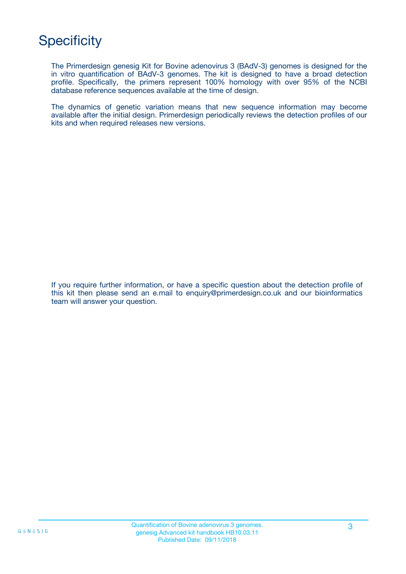# **Specificity**

The Primerdesign genesig Kit for Bovine adenovirus 3 (BAdV-3) genomes is designed for the in vitro quantification of BAdV-3 genomes. The kit is designed to have a broad detection profile. Specifically, the primers represent 100% homology with over 95% of the NCBI database reference sequences available at the time of design.

The dynamics of genetic variation means that new sequence information may become available after the initial design. Primerdesign periodically reviews the detection profiles of our kits and when required releases new versions.

If you require further information, or have a specific question about the detection profile of this kit then please send an e.mail to enquiry@primerdesign.co.uk and our bioinformatics team will answer your question.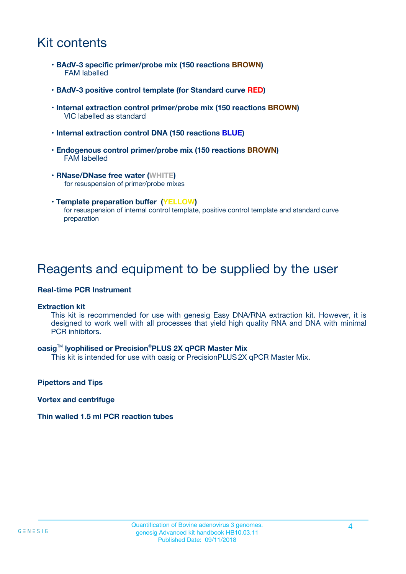# Kit contents

- **BAdV-3 specific primer/probe mix (150 reactions BROWN)** FAM labelled
- **BAdV-3 positive control template (for Standard curve RED)**
- **Internal extraction control primer/probe mix (150 reactions BROWN)** VIC labelled as standard
- **Internal extraction control DNA (150 reactions BLUE)**
- **Endogenous control primer/probe mix (150 reactions BROWN)** FAM labelled
- **RNase/DNase free water (WHITE)** for resuspension of primer/probe mixes
- **Template preparation buffer (YELLOW)** for resuspension of internal control template, positive control template and standard curve preparation

## Reagents and equipment to be supplied by the user

#### **Real-time PCR Instrument**

#### **Extraction kit**

This kit is recommended for use with genesig Easy DNA/RNA extraction kit. However, it is designed to work well with all processes that yield high quality RNA and DNA with minimal PCR inhibitors.

#### **oasig**TM **lyophilised or Precision**®**PLUS 2X qPCR Master Mix**

This kit is intended for use with oasig or PrecisionPLUS2X qPCR Master Mix.

**Pipettors and Tips**

**Vortex and centrifuge**

#### **Thin walled 1.5 ml PCR reaction tubes**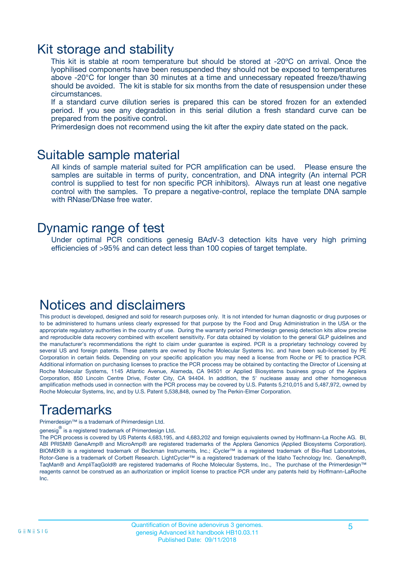### Kit storage and stability

This kit is stable at room temperature but should be stored at -20ºC on arrival. Once the lyophilised components have been resuspended they should not be exposed to temperatures above -20°C for longer than 30 minutes at a time and unnecessary repeated freeze/thawing should be avoided. The kit is stable for six months from the date of resuspension under these circumstances.

If a standard curve dilution series is prepared this can be stored frozen for an extended period. If you see any degradation in this serial dilution a fresh standard curve can be prepared from the positive control.

Primerdesign does not recommend using the kit after the expiry date stated on the pack.

### Suitable sample material

All kinds of sample material suited for PCR amplification can be used. Please ensure the samples are suitable in terms of purity, concentration, and DNA integrity (An internal PCR control is supplied to test for non specific PCR inhibitors). Always run at least one negative control with the samples. To prepare a negative-control, replace the template DNA sample with RNase/DNase free water.

### Dynamic range of test

Under optimal PCR conditions genesig BAdV-3 detection kits have very high priming efficiencies of >95% and can detect less than 100 copies of target template.

## Notices and disclaimers

This product is developed, designed and sold for research purposes only. It is not intended for human diagnostic or drug purposes or to be administered to humans unless clearly expressed for that purpose by the Food and Drug Administration in the USA or the appropriate regulatory authorities in the country of use. During the warranty period Primerdesign genesig detection kits allow precise and reproducible data recovery combined with excellent sensitivity. For data obtained by violation to the general GLP guidelines and the manufacturer's recommendations the right to claim under guarantee is expired. PCR is a proprietary technology covered by several US and foreign patents. These patents are owned by Roche Molecular Systems Inc. and have been sub-licensed by PE Corporation in certain fields. Depending on your specific application you may need a license from Roche or PE to practice PCR. Additional information on purchasing licenses to practice the PCR process may be obtained by contacting the Director of Licensing at Roche Molecular Systems, 1145 Atlantic Avenue, Alameda, CA 94501 or Applied Biosystems business group of the Applera Corporation, 850 Lincoln Centre Drive, Foster City, CA 94404. In addition, the 5' nuclease assay and other homogeneous amplification methods used in connection with the PCR process may be covered by U.S. Patents 5,210,015 and 5,487,972, owned by Roche Molecular Systems, Inc, and by U.S. Patent 5,538,848, owned by The Perkin-Elmer Corporation.

# Trademarks

Primerdesign™ is a trademark of Primerdesign Ltd.

genesig $^\circledR$  is a registered trademark of Primerdesign Ltd.

The PCR process is covered by US Patents 4,683,195, and 4,683,202 and foreign equivalents owned by Hoffmann-La Roche AG. BI, ABI PRISM® GeneAmp® and MicroAmp® are registered trademarks of the Applera Genomics (Applied Biosystems Corporation). BIOMEK® is a registered trademark of Beckman Instruments, Inc.; iCycler™ is a registered trademark of Bio-Rad Laboratories, Rotor-Gene is a trademark of Corbett Research. LightCycler™ is a registered trademark of the Idaho Technology Inc. GeneAmp®, TaqMan® and AmpliTaqGold® are registered trademarks of Roche Molecular Systems, Inc., The purchase of the Primerdesign™ reagents cannot be construed as an authorization or implicit license to practice PCR under any patents held by Hoffmann-LaRoche Inc.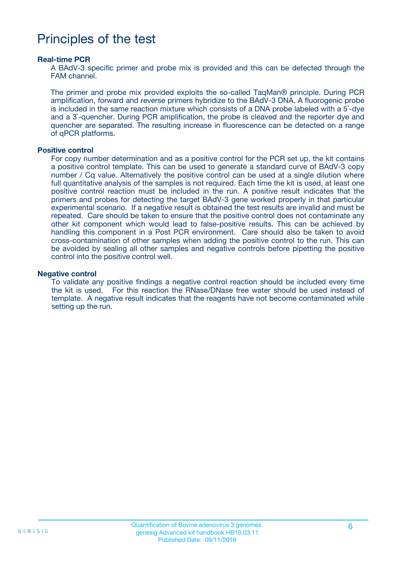# Principles of the test

#### **Real-time PCR**

A BAdV-3 specific primer and probe mix is provided and this can be detected through the FAM channel.

The primer and probe mix provided exploits the so-called TaqMan® principle. During PCR amplification, forward and reverse primers hybridize to the BAdV-3 DNA. A fluorogenic probe is included in the same reaction mixture which consists of a DNA probe labeled with a 5`-dye and a 3`-quencher. During PCR amplification, the probe is cleaved and the reporter dye and quencher are separated. The resulting increase in fluorescence can be detected on a range of qPCR platforms.

#### **Positive control**

For copy number determination and as a positive control for the PCR set up, the kit contains a positive control template. This can be used to generate a standard curve of BAdV-3 copy number / Cq value. Alternatively the positive control can be used at a single dilution where full quantitative analysis of the samples is not required. Each time the kit is used, at least one positive control reaction must be included in the run. A positive result indicates that the primers and probes for detecting the target BAdV-3 gene worked properly in that particular experimental scenario. If a negative result is obtained the test results are invalid and must be repeated. Care should be taken to ensure that the positive control does not contaminate any other kit component which would lead to false-positive results. This can be achieved by handling this component in a Post PCR environment. Care should also be taken to avoid cross-contamination of other samples when adding the positive control to the run. This can be avoided by sealing all other samples and negative controls before pipetting the positive control into the positive control well.

#### **Negative control**

To validate any positive findings a negative control reaction should be included every time the kit is used. For this reaction the RNase/DNase free water should be used instead of template. A negative result indicates that the reagents have not become contaminated while setting up the run.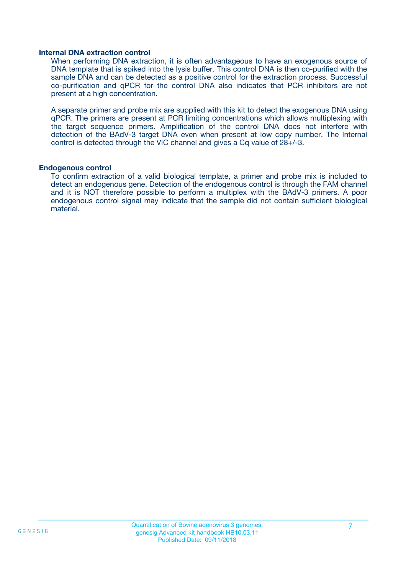#### **Internal DNA extraction control**

When performing DNA extraction, it is often advantageous to have an exogenous source of DNA template that is spiked into the lysis buffer. This control DNA is then co-purified with the sample DNA and can be detected as a positive control for the extraction process. Successful co-purification and qPCR for the control DNA also indicates that PCR inhibitors are not present at a high concentration.

A separate primer and probe mix are supplied with this kit to detect the exogenous DNA using qPCR. The primers are present at PCR limiting concentrations which allows multiplexing with the target sequence primers. Amplification of the control DNA does not interfere with detection of the BAdV-3 target DNA even when present at low copy number. The Internal control is detected through the VIC channel and gives a Cq value of 28+/-3.

#### **Endogenous control**

To confirm extraction of a valid biological template, a primer and probe mix is included to detect an endogenous gene. Detection of the endogenous control is through the FAM channel and it is NOT therefore possible to perform a multiplex with the BAdV-3 primers. A poor endogenous control signal may indicate that the sample did not contain sufficient biological material.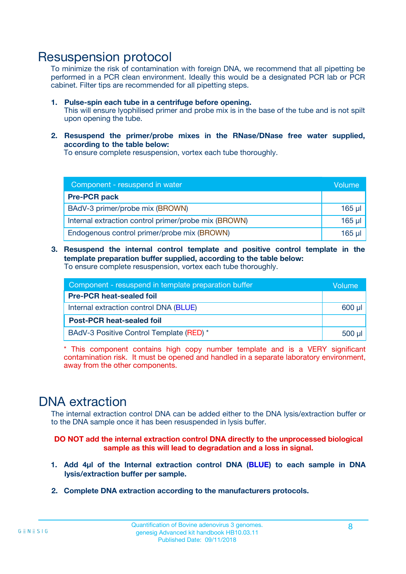### Resuspension protocol

To minimize the risk of contamination with foreign DNA, we recommend that all pipetting be performed in a PCR clean environment. Ideally this would be a designated PCR lab or PCR cabinet. Filter tips are recommended for all pipetting steps.

- **1. Pulse-spin each tube in a centrifuge before opening.** This will ensure lyophilised primer and probe mix is in the base of the tube and is not spilt upon opening the tube.
- **2. Resuspend the primer/probe mixes in the RNase/DNase free water supplied, according to the table below:**

To ensure complete resuspension, vortex each tube thoroughly.

| Component - resuspend in water                       |          |  |
|------------------------------------------------------|----------|--|
| <b>Pre-PCR pack</b>                                  |          |  |
| BAdV-3 primer/probe mix (BROWN)                      | $165$ µl |  |
| Internal extraction control primer/probe mix (BROWN) | $165$ µl |  |
| Endogenous control primer/probe mix (BROWN)          | 165 µl   |  |

**3. Resuspend the internal control template and positive control template in the template preparation buffer supplied, according to the table below:** To ensure complete resuspension, vortex each tube thoroughly.

| Component - resuspend in template preparation buffer |          |  |  |
|------------------------------------------------------|----------|--|--|
| <b>Pre-PCR heat-sealed foil</b>                      |          |  |  |
| Internal extraction control DNA (BLUE)               |          |  |  |
| <b>Post-PCR heat-sealed foil</b>                     |          |  |  |
| BAdV-3 Positive Control Template (RED) *             | $500$ µl |  |  |

\* This component contains high copy number template and is a VERY significant contamination risk. It must be opened and handled in a separate laboratory environment, away from the other components.

## DNA extraction

The internal extraction control DNA can be added either to the DNA lysis/extraction buffer or to the DNA sample once it has been resuspended in lysis buffer.

**DO NOT add the internal extraction control DNA directly to the unprocessed biological sample as this will lead to degradation and a loss in signal.**

- **1. Add 4µl of the Internal extraction control DNA (BLUE) to each sample in DNA lysis/extraction buffer per sample.**
- **2. Complete DNA extraction according to the manufacturers protocols.**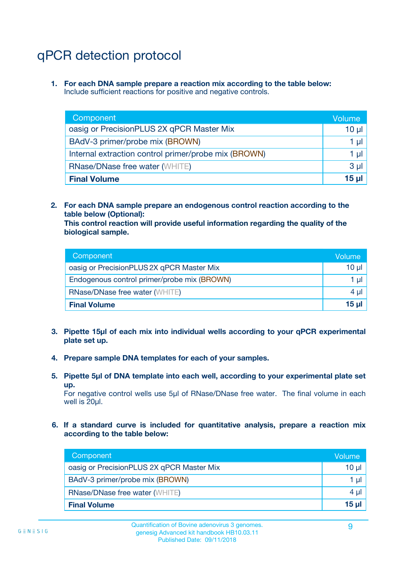# qPCR detection protocol

**1. For each DNA sample prepare a reaction mix according to the table below:** Include sufficient reactions for positive and negative controls.

| Component                                            | Volume   |
|------------------------------------------------------|----------|
| oasig or PrecisionPLUS 2X qPCR Master Mix            | $10 \mu$ |
| BAdV-3 primer/probe mix (BROWN)                      | 1 µI     |
| Internal extraction control primer/probe mix (BROWN) | 1 µl     |
| <b>RNase/DNase free water (WHITE)</b>                | $3 \mu$  |
| <b>Final Volume</b>                                  | 15 µl    |

**2. For each DNA sample prepare an endogenous control reaction according to the table below (Optional):**

**This control reaction will provide useful information regarding the quality of the biological sample.**

| Component                                   | Volume          |
|---------------------------------------------|-----------------|
| oasig or PrecisionPLUS 2X qPCR Master Mix   | $10 \mu$        |
| Endogenous control primer/probe mix (BROWN) | 1 µI            |
| <b>RNase/DNase free water (WHITE)</b>       | 4 µl            |
| <b>Final Volume</b>                         | 15 <sub>µ</sub> |

- **3. Pipette 15µl of each mix into individual wells according to your qPCR experimental plate set up.**
- **4. Prepare sample DNA templates for each of your samples.**
- **5. Pipette 5µl of DNA template into each well, according to your experimental plate set up.**

For negative control wells use 5µl of RNase/DNase free water. The final volume in each well is 20ul.

**6. If a standard curve is included for quantitative analysis, prepare a reaction mix according to the table below:**

| Component                                 | Volume          |
|-------------------------------------------|-----------------|
| oasig or PrecisionPLUS 2X qPCR Master Mix | $10 \mu$        |
| BAdV-3 primer/probe mix (BROWN)           | 1 µI            |
| <b>RNase/DNase free water (WHITE)</b>     | $4 \mu$         |
| <b>Final Volume</b>                       | 15 <sub>µ</sub> |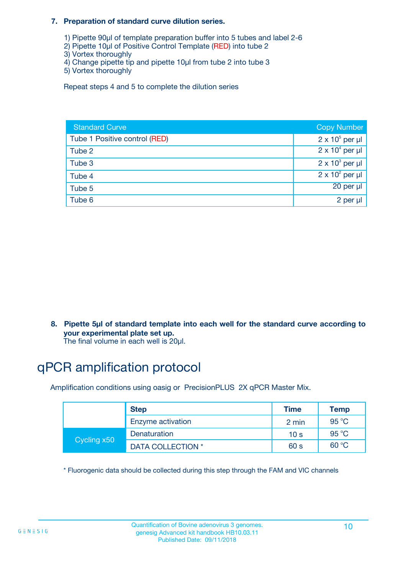#### **7. Preparation of standard curve dilution series.**

- 1) Pipette 90µl of template preparation buffer into 5 tubes and label 2-6
- 2) Pipette 10µl of Positive Control Template (RED) into tube 2
- 3) Vortex thoroughly
- 4) Change pipette tip and pipette 10µl from tube 2 into tube 3
- 5) Vortex thoroughly

Repeat steps 4 and 5 to complete the dilution series

| <b>Standard Curve</b>         | <b>Copy Number</b>     |
|-------------------------------|------------------------|
| Tube 1 Positive control (RED) | $2 \times 10^5$ per µl |
| Tube 2                        | $2 \times 10^4$ per µl |
| Tube 3                        | $2 \times 10^3$ per µl |
| Tube 4                        | $2 \times 10^2$ per µl |
| Tube 5                        | 20 per µl              |
| Tube 6                        | 2 per µl               |

**8. Pipette 5µl of standard template into each well for the standard curve according to your experimental plate set up.**

#### The final volume in each well is 20µl.

# qPCR amplification protocol

Amplification conditions using oasig or PrecisionPLUS 2X qPCR Master Mix.

|             | <b>Step</b>       | <b>Time</b>     | Temp    |
|-------------|-------------------|-----------------|---------|
|             | Enzyme activation | 2 min           | 95 °C   |
| Cycling x50 | Denaturation      | 10 <sub>s</sub> | 95 $°C$ |
|             | DATA COLLECTION * | 60 s            | 60 °C   |

\* Fluorogenic data should be collected during this step through the FAM and VIC channels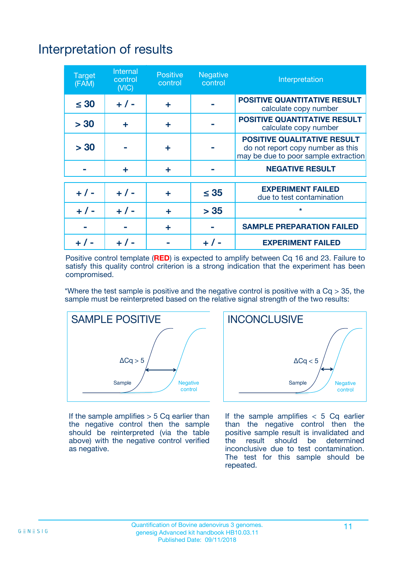# Interpretation of results

| <b>Target</b><br>(FAM) | <b>Internal</b><br>control<br>(NIC) | <b>Positive</b><br>control | <b>Negative</b><br>control | Interpretation                                                                                                  |
|------------------------|-------------------------------------|----------------------------|----------------------------|-----------------------------------------------------------------------------------------------------------------|
| $\leq 30$              | $+ 1 -$                             | ÷                          |                            | <b>POSITIVE QUANTITATIVE RESULT</b><br>calculate copy number                                                    |
| > 30                   | ٠                                   | ÷                          |                            | <b>POSITIVE QUANTITATIVE RESULT</b><br>calculate copy number                                                    |
| > 30                   |                                     | ÷                          |                            | <b>POSITIVE QUALITATIVE RESULT</b><br>do not report copy number as this<br>may be due to poor sample extraction |
|                        | ÷                                   | ÷                          |                            | <b>NEGATIVE RESULT</b>                                                                                          |
| $+ 1 -$                | $+ 1 -$                             | ÷                          | $\leq$ 35                  | <b>EXPERIMENT FAILED</b><br>due to test contamination                                                           |
| $+$ / -                | $+ 1 -$                             | ÷                          | > 35                       | $\star$                                                                                                         |
|                        |                                     | ÷                          |                            | <b>SAMPLE PREPARATION FAILED</b>                                                                                |
|                        |                                     |                            | $+$ /                      | <b>EXPERIMENT FAILED</b>                                                                                        |

Positive control template (**RED**) is expected to amplify between Cq 16 and 23. Failure to satisfy this quality control criterion is a strong indication that the experiment has been compromised.

\*Where the test sample is positive and the negative control is positive with a  $Ca > 35$ , the sample must be reinterpreted based on the relative signal strength of the two results:



If the sample amplifies  $> 5$  Cq earlier than the negative control then the sample should be reinterpreted (via the table above) with the negative control verified as negative.



If the sample amplifies  $< 5$  Cq earlier than the negative control then the positive sample result is invalidated and<br>the result should be determined  $the$  result should be inconclusive due to test contamination. The test for this sample should be repeated.